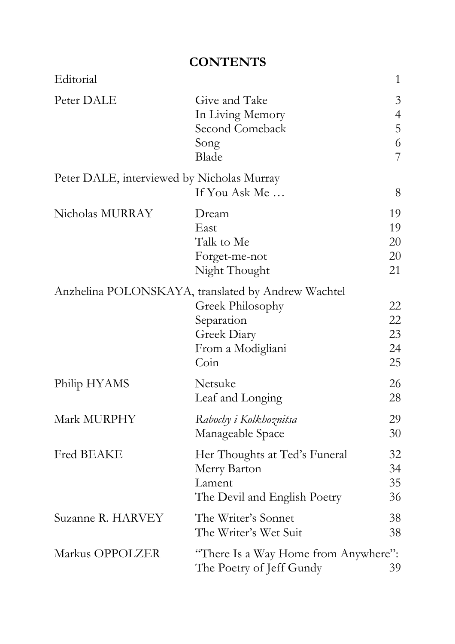## **CONTENTS**

| Editorial                                  |                                                                                                                                  | $\mathbf{1}$                                    |
|--------------------------------------------|----------------------------------------------------------------------------------------------------------------------------------|-------------------------------------------------|
| Peter DALE                                 | Give and Take<br>In Living Memory<br>Second Comeback<br>Song<br>Blade                                                            | $\mathfrak{Z}$<br>$\overline{4}$<br>5<br>6<br>7 |
| Peter DALE, interviewed by Nicholas Murray | If You Ask Me                                                                                                                    | 8                                               |
| Nicholas MURRAY                            | Dream<br>East<br>Talk to Me<br>Forget-me-not<br>Night Thought                                                                    | 19<br>19<br>20<br>20<br>21                      |
|                                            | Anzhelina POLONSKAYA, translated by Andrew Wachtel<br>Greek Philosophy<br>Separation<br>Greek Diary<br>From a Modigliani<br>Coin | 22<br>22<br>23<br>24<br>25                      |
| Philip HYAMS                               | Netsuke<br>Leaf and Longing                                                                                                      | 26<br>28                                        |
| Mark MURPHY                                | Rabochy i Kolkhoznitsa<br>Manageable Space                                                                                       | 29<br>30                                        |
| <b>Fred BEAKE</b>                          | Her Thoughts at Ted's Funeral<br>Merry Barton<br>Lament<br>The Devil and English Poetry                                          | 32<br>34<br>35<br>36                            |
| Suzanne R. HARVEY                          | The Writer's Sonnet<br>The Writer's Wet Suit                                                                                     | 38<br>38                                        |
| Markus OPPOLZER                            | "There Is a Way Home from Anywhere":<br>The Poetry of Jeff Gundy                                                                 | 39                                              |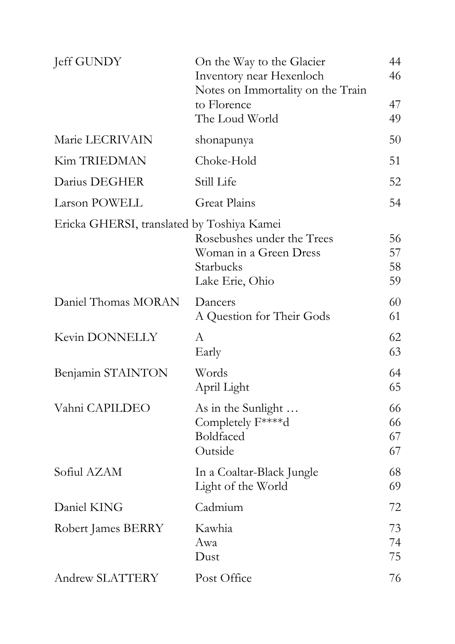| Jeff GUNDY                                 | On the Way to the Glacier<br>Inventory near Hexenloch<br>Notes on Immortality on the Train<br>to Florence<br>The Loud World | 44<br>46<br>47<br>49 |
|--------------------------------------------|-----------------------------------------------------------------------------------------------------------------------------|----------------------|
| Marie LECRIVAIN                            | shonapunya                                                                                                                  | 50                   |
| <b>Kim TRIEDMAN</b>                        | Choke-Hold                                                                                                                  | 51                   |
| Darius DEGHER                              | Still Life                                                                                                                  | 52                   |
| Larson POWELL                              | Great Plains                                                                                                                | 54                   |
| Ericka GHERSI, translated by Toshiya Kamei | Rosebushes under the Trees<br>Woman in a Green Dress<br>Starbucks<br>Lake Erie, Ohio                                        | 56<br>57<br>58<br>59 |
| Daniel Thomas MORAN                        | Dancers<br>A Question for Their Gods                                                                                        | 60<br>61             |
| Kevin DONNELLY                             | A<br>Early                                                                                                                  | 62<br>63             |
| Benjamin STAINTON                          | Words<br>April Light                                                                                                        | 64<br>65             |
| Vahni CAPILDEO                             | As in the Sunlight<br>Completely F****d<br>Boldfaced<br>Outside                                                             | 66<br>66<br>67<br>67 |
| Sofiul AZAM                                | In a Coaltar-Black Jungle<br>Light of the World                                                                             | 68<br>69             |
| Daniel KING                                | Cadmium                                                                                                                     | 72                   |
| Robert James BERRY                         | Kawhia<br>Awa<br>Dust                                                                                                       | 73<br>74<br>75       |
| Andrew SLATTERY                            | Post Office                                                                                                                 | 76                   |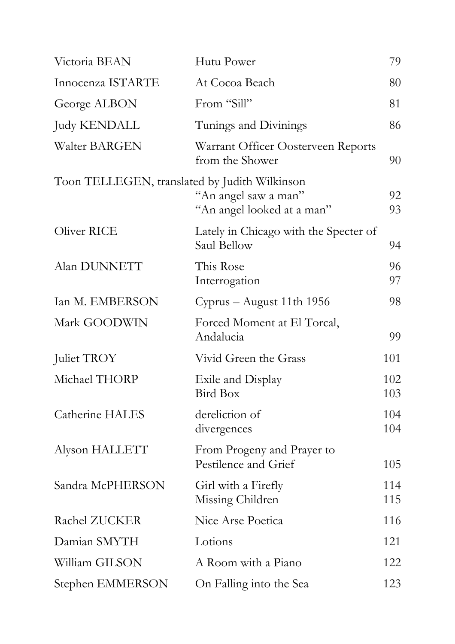| Victoria BEAN                                 | Hutu Power                                            | 79         |
|-----------------------------------------------|-------------------------------------------------------|------------|
| Innocenza ISTARTE                             | At Cocoa Beach                                        | 80         |
| George ALBON                                  | From "Sill"                                           | 81         |
| <b>Judy KENDALL</b>                           | Tunings and Divinings                                 | 86         |
| <b>Walter BARGEN</b>                          | Warrant Officer Oosterveen Reports<br>from the Shower | 90         |
| Toon TELLEGEN, translated by Judith Wilkinson | "An angel saw a man"<br>"An angel looked at a man"    | 92<br>93   |
| Oliver RICE                                   | Lately in Chicago with the Specter of<br>Saul Bellow  | 94         |
| Alan DUNNETT                                  | This Rose<br>Interrogation                            | 96<br>97   |
| Ian M. EMBERSON                               | Cyprus – August 11th 1956                             | 98         |
| Mark GOODWIN                                  | Forced Moment at El Torcal,<br>Andalucia              | 99         |
| Juliet TROY                                   | Vivid Green the Grass                                 | 101        |
| Michael THORP                                 | Exile and Display<br>Bird Box                         | 102<br>103 |
| Catherine HALES                               | dereliction of<br>divergences                         | 104<br>104 |
| Alyson HALLETT                                | From Progeny and Prayer to<br>Pestilence and Grief    | 105        |
| Sandra McPHERSON                              | Girl with a Firefly<br>Missing Children               | 114<br>115 |
| Rachel ZUCKER                                 | Nice Arse Poetica                                     | 116        |
| Damian SMYTH                                  | Lotions                                               | 121        |
| William GILSON                                | A Room with a Piano                                   | 122        |
| Stephen EMMERSON                              | On Falling into the Sea                               | 123        |